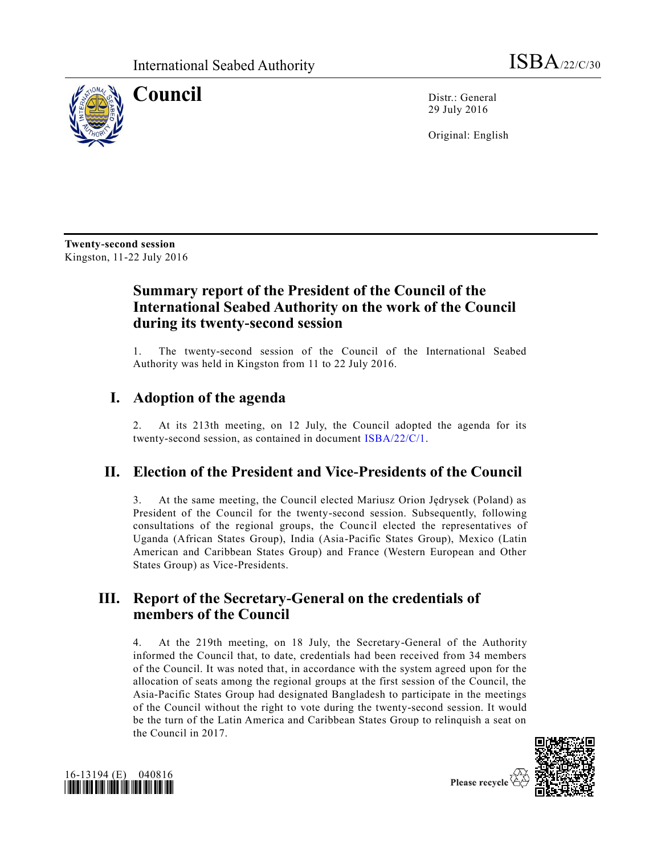

**Council** Distr.: General 29 July 2016

Original: English

**Twenty-second session** Kingston, 11-22 July 2016

# **Summary report of the President of the Council of the International Seabed Authority on the work of the Council during its twenty-second session**

1. The twenty-second session of the Council of the International Seabed Authority was held in Kingston from 11 to 22 July 2016.

# **I. Adoption of the agenda**

2. At its 213th meeting, on 12 July, the Council adopted the agenda for its twenty-second session, as contained in document [ISBA/22/C/1.](http://undocs.org/ISBA/22/C/1)

# **II. Election of the President and Vice-Presidents of the Council**

3. At the same meeting, the Council elected Mariusz Orion Jędrysek (Poland) as President of the Council for the twenty-second session. Subsequently, following consultations of the regional groups, the Council elected the representatives of Uganda (African States Group), India (Asia-Pacific States Group), Mexico (Latin American and Caribbean States Group) and France (Western European and Other States Group) as Vice-Presidents.

## **III. Report of the Secretary-General on the credentials of members of the Council**

4. At the 219th meeting, on 18 July, the Secretary-General of the Authority informed the Council that, to date, credentials had been received from 34 members of the Council. It was noted that, in accordance with the system agreed upon for the allocation of seats among the regional groups at the first session of the Council, the Asia-Pacific States Group had designated Bangladesh to participate in the meetings of the Council without the right to vote during the twenty-second session. It would be the turn of the Latin America and Caribbean States Group to relinquish a seat on the Council in 2017.



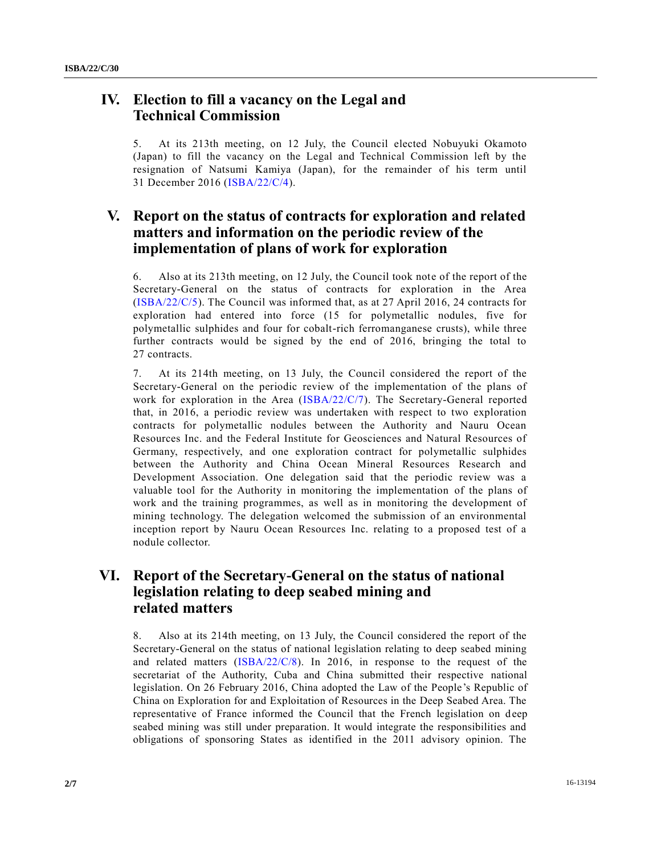### **IV. Election to fill a vacancy on the Legal and Technical Commission**

5. At its 213th meeting, on 12 July, the Council elected Nobuyuki Okamoto (Japan) to fill the vacancy on the Legal and Technical Commission left by the resignation of Natsumi Kamiya (Japan), for the remainder of his term until 31 December 2016 [\(ISBA/22/C/4\)](http://undocs.org/ISBA/22/C/4).

### **V. Report on the status of contracts for exploration and related matters and information on the periodic review of the implementation of plans of work for exploration**

6. Also at its 213th meeting, on 12 July, the Council took note of the report of the Secretary-General on the status of contracts for exploration in the Area [\(ISBA/22/C/5\)](http://undocs.org/ISBA/22/C/5). The Council was informed that, as at 27 April 2016, 24 contracts for exploration had entered into force (15 for polymetallic nodules, five for polymetallic sulphides and four for cobalt-rich ferromanganese crusts), while three further contracts would be signed by the end of 2016, bringing the total to 27 contracts.

7. At its 214th meeting, on 13 July, the Council considered the report of the Secretary-General on the periodic review of the implementation of the plans of work for exploration in the Area [\(ISBA/22/C/7\)](http://undocs.org/ISBA/22/C/7). The Secretary-General reported that, in 2016, a periodic review was undertaken with respect to two exploration contracts for polymetallic nodules between the Authority and Nauru Ocean Resources Inc. and the Federal Institute for Geosciences and Natural Resources of Germany, respectively, and one exploration contract for polymetallic sulphides between the Authority and China Ocean Mineral Resources Research and Development Association. One delegation said that the periodic review was a valuable tool for the Authority in monitoring the implementation of the plans of work and the training programmes, as well as in monitoring the development of mining technology. The delegation welcomed the submission of an environmental inception report by Nauru Ocean Resources Inc. relating to a proposed test of a nodule collector.

### **VI. Report of the Secretary-General on the status of national legislation relating to deep seabed mining and related matters**

8. Also at its 214th meeting, on 13 July, the Council considered the report of the Secretary-General on the status of national legislation relating to deep seabed mining and related matters [\(ISBA/22/C/8\)](http://undocs.org/ISBA/22/C/8). In 2016, in response to the request of the secretariat of the Authority, Cuba and China submitted their respective national legislation. On 26 February 2016, China adopted the Law of the People's Republic of China on Exploration for and Exploitation of Resources in the Deep Seabed Area. The representative of France informed the Council that the French legislation on deep seabed mining was still under preparation. It would integrate the responsibilities and obligations of sponsoring States as identified in the 2011 advisory opinion. The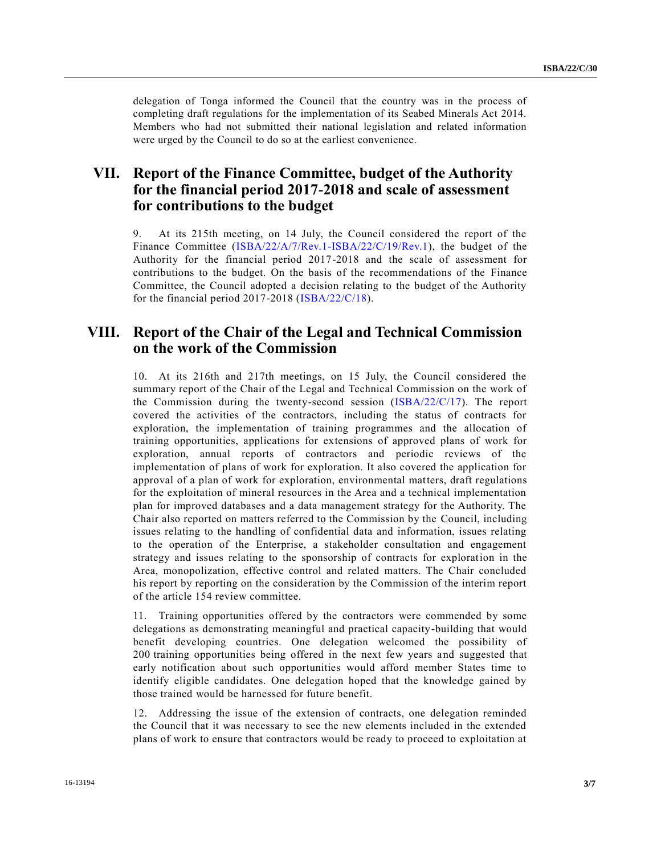delegation of Tonga informed the Council that the country was in the process of completing draft regulations for the implementation of its Seabed Minerals Act 2014. Members who had not submitted their national legislation and related information were urged by the Council to do so at the earliest convenience.

### **VII. Report of the Finance Committee, budget of the Authority for the financial period 2017-2018 and scale of assessment for contributions to the budget**

9. At its 215th meeting, on 14 July, the Council considered the report of the Finance Committee [\(ISBA/22/A/7/Rev.1-ISBA/22/C/19/Rev.1\)](http://undocs.org/ISBA/22/A/7/Rev.1), the budget of the Authority for the financial period 2017-2018 and the scale of assessment for contributions to the budget. On the basis of the recommendations of the Finance Committee, the Council adopted a decision relating to the budget of the Authority for the financial period 2017-2018 [\(ISBA/22/C/18\)](http://undocs.org/ISBA/22/C/18).

#### **VIII. Report of the Chair of the Legal and Technical Commission on the work of the Commission**

10. At its 216th and 217th meetings, on 15 July, the Council considered the summary report of the Chair of the Legal and Technical Commission on the work of the Commission during the twenty-second session [\(ISBA/22/C/17\)](http://undocs.org/ISBA/22/C/17). The report covered the activities of the contractors, including the status of contracts for exploration, the implementation of training programmes and the allocation of training opportunities, applications for extensions of approved plans of work for exploration, annual reports of contractors and periodic reviews of the implementation of plans of work for exploration. It also covered the application for approval of a plan of work for exploration, environmental matters, draft regulations for the exploitation of mineral resources in the Area and a technical implementation plan for improved databases and a data management strategy for the Authority. The Chair also reported on matters referred to the Commission by the Council, including issues relating to the handling of confidential data and information, issues relating to the operation of the Enterprise, a stakeholder consultation and engagement strategy and issues relating to the sponsorship of contracts for exploration in the Area, monopolization, effective control and related matters. The Chair concluded his report by reporting on the consideration by the Commission of the interim report of the article 154 review committee.

11. Training opportunities offered by the contractors were commended by some delegations as demonstrating meaningful and practical capacity-building that would benefit developing countries. One delegation welcomed the possibility of 200 training opportunities being offered in the next few years and suggested that early notification about such opportunities would afford member States time to identify eligible candidates. One delegation hoped that the knowledge gained by those trained would be harnessed for future benefit.

12. Addressing the issue of the extension of contracts, one delegation reminded the Council that it was necessary to see the new elements included in the extended plans of work to ensure that contractors would be ready to proceed to exploitation at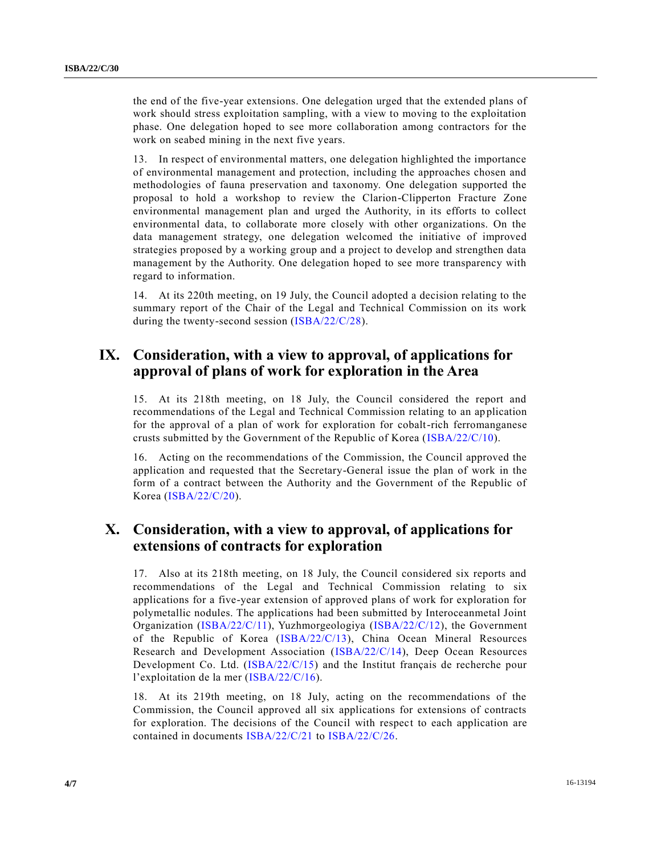the end of the five-year extensions. One delegation urged that the extended plans of work should stress exploitation sampling, with a view to moving to the exploitation phase. One delegation hoped to see more collaboration among contractors for the work on seabed mining in the next five years.

13. In respect of environmental matters, one delegation highlighted the importance of environmental management and protection, including the approaches chosen and methodologies of fauna preservation and taxonomy. One delegation supported the proposal to hold a workshop to review the Clarion-Clipperton Fracture Zone environmental management plan and urged the Authority, in its efforts to collect environmental data, to collaborate more closely with other organizations. On the data management strategy, one delegation welcomed the initiative of improved strategies proposed by a working group and a project to develop and strengthen data management by the Authority. One delegation hoped to see more transparency with regard to information.

14. At its 220th meeting, on 19 July, the Council adopted a decision relating to the summary report of the Chair of the Legal and Technical Commission on its work during the twenty-second session [\(ISBA/22/C/28\)](http://undocs.org/ISBA/22/C/28).

### **IX. Consideration, with a view to approval, of applications for approval of plans of work for exploration in the Area**

15. At its 218th meeting, on 18 July, the Council considered the report and recommendations of the Legal and Technical Commission relating to an application for the approval of a plan of work for exploration for cobalt-rich ferromanganese crusts submitted by the Government of the Republic of Korea [\(ISBA/22/C/10\)](http://undocs.org/ISBA/22/C/10).

16. Acting on the recommendations of the Commission, the Council approved the application and requested that the Secretary-General issue the plan of work in the form of a contract between the Authority and the Government of the Republic of Korea [\(ISBA/22/C/20\)](http://undocs.org/ISBA/22/C/20).

### **X. Consideration, with a view to approval, of applications for extensions of contracts for exploration**

17. Also at its 218th meeting, on 18 July, the Council considered six reports and recommendations of the Legal and Technical Commission relating to six applications for a five-year extension of approved plans of work for exploration for polymetallic nodules. The applications had been submitted by Interoceanmetal Joint Organization [\(ISBA/22/C/11\)](http://undocs.org/ISBA/22/C/11), Yuzhmorgeologiya [\(ISBA/22/C/12\)](http://undocs.org/ISBA/22/C/12), the Government of the Republic of Korea [\(ISBA/22/C/13\)](http://undocs.org/ISBA/22/C/13), China Ocean Mineral Resources Research and Development Association [\(ISBA/22/C/14\)](http://undocs.org/ISBA/22/C/14), Deep Ocean Resources Development Co. Ltd. [\(ISBA/22/C/15\)](http://undocs.org/ISBA/22/C/15) and the Institut français de recherche pour l'exploitation de la mer [\(ISBA/22/C/16\)](http://undocs.org/ISBA/22/C/16).

18. At its 219th meeting, on 18 July, acting on the recommendations of the Commission, the Council approved all six applications for extensions of contracts for exploration. The decisions of the Council with respect to each application are contained in documents [ISBA/22/C/21](http://undocs.org/ISBA/22/C/21) to [ISBA/22/C/26.](http://undocs.org/ISBA/22/C/26)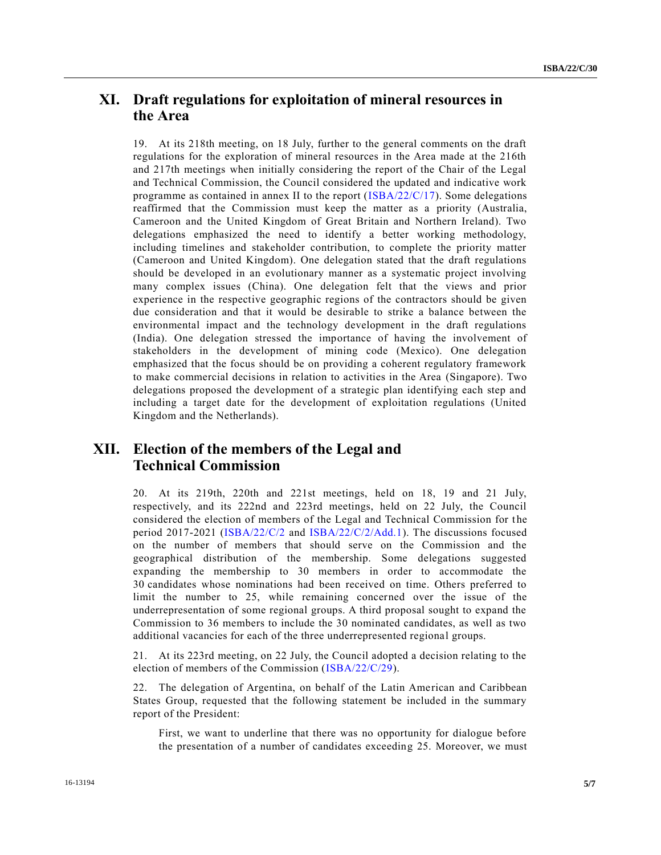#### **XI. Draft regulations for exploitation of mineral resources in the Area**

19. At its 218th meeting, on 18 July, further to the general comments on the draft regulations for the exploration of mineral resources in the Area made at the 216th and 217th meetings when initially considering the report of the Chair of the Legal and Technical Commission, the Council considered the updated and indicative work programme as contained in annex II to the report  $(IBBA/22/C/17)$ . Some delegations reaffirmed that the Commission must keep the matter as a priority (Australia, Cameroon and the United Kingdom of Great Britain and Northern Ireland). Two delegations emphasized the need to identify a better working methodology, including timelines and stakeholder contribution, to complete the priority matter (Cameroon and United Kingdom). One delegation stated that the draft regulations should be developed in an evolutionary manner as a systematic project involving many complex issues (China). One delegation felt that the views and prior experience in the respective geographic regions of the contractors should be given due consideration and that it would be desirable to strike a balance between the environmental impact and the technology development in the draft regulations (India). One delegation stressed the importance of having the involvement of stakeholders in the development of mining code (Mexico). One delegation emphasized that the focus should be on providing a coherent regulatory framework to make commercial decisions in relation to activities in the Area (Singapore). Two delegations proposed the development of a strategic plan identifying each step and including a target date for the development of exploitation regulations (United Kingdom and the Netherlands).

#### **XII. Election of the members of the Legal and Technical Commission**

20. At its 219th, 220th and 221st meetings, held on 18, 19 and 21 July, respectively, and its 222nd and 223rd meetings, held on 22 July, the Council considered the election of members of the Legal and Technical Commission for the period 2017-2021 [\(ISBA/22/C/2](http://undocs.org/ISBA/22/C/2) and [ISBA/22/C/2/Add.1\)](http://undocs.org/ISBA/22/C/2/Add.1). The discussions focused on the number of members that should serve on the Commission and the geographical distribution of the membership. Some delegations suggested expanding the membership to 30 members in order to accommodate the 30 candidates whose nominations had been received on time. Others preferred to limit the number to 25, while remaining concerned over the issue of the underrepresentation of some regional groups. A third proposal sought to expand the Commission to 36 members to include the 30 nominated candidates, as well as two additional vacancies for each of the three underrepresented regional groups.

21. At its 223rd meeting, on 22 July, the Council adopted a decision relating to the election of members of the Commission [\(ISBA/22/C/29\)](http://undocs.org/ISBA/22/C/29).

22. The delegation of Argentina, on behalf of the Latin American and Caribbean States Group, requested that the following statement be included in the summary report of the President:

First, we want to underline that there was no opportunity for dialogue before the presentation of a number of candidates exceeding 25. Moreover, we must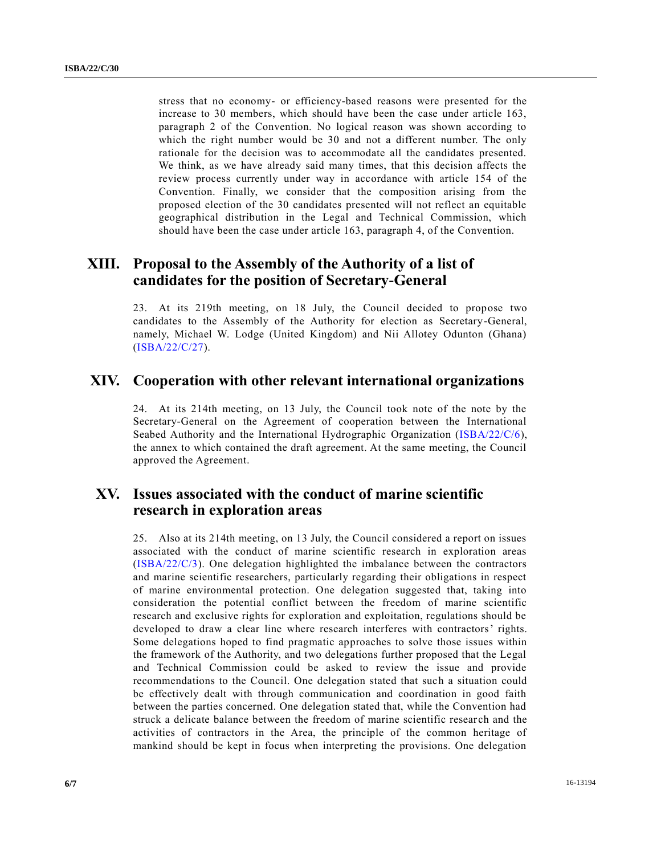stress that no economy- or efficiency-based reasons were presented for the increase to 30 members, which should have been the case under article 163, paragraph 2 of the Convention. No logical reason was shown according to which the right number would be 30 and not a different number. The only rationale for the decision was to accommodate all the candidates presented. We think, as we have already said many times, that this decision affects the review process currently under way in accordance with article 154 of the Convention. Finally, we consider that the composition arising from the proposed election of the 30 candidates presented will not reflect an equitable geographical distribution in the Legal and Technical Commission, which should have been the case under article 163, paragraph 4, of the Convention.

### **XIII. Proposal to the Assembly of the Authority of a list of candidates for the position of Secretary-General**

23. At its 219th meeting, on 18 July, the Council decided to propose two candidates to the Assembly of the Authority for election as Secretary-General, namely, Michael W. Lodge (United Kingdom) and Nii Allotey Odunton (Ghana) [\(ISBA/22/C/27\)](http://undocs.org/ISBA/22/C/27).

#### **XIV. Cooperation with other relevant international organizations**

24. At its 214th meeting, on 13 July, the Council took note of the note by the Secretary-General on the Agreement of cooperation between the International Seabed Authority and the International Hydrographic Organization [\(ISBA/22/C/6\)](http://undocs.org/ISBA/22/C/6), the annex to which contained the draft agreement. At the same meeting, the Council approved the Agreement.

#### **XV. Issues associated with the conduct of marine scientific research in exploration areas**

25. Also at its 214th meeting, on 13 July, the Council considered a report on issues associated with the conduct of marine scientific research in exploration areas [\(ISBA/22/C/3\)](http://undocs.org/ISBA/22/C/3). One delegation highlighted the imbalance between the contractors and marine scientific researchers, particularly regarding their obligations in respect of marine environmental protection. One delegation suggested that, taking into consideration the potential conflict between the freedom of marine scientific research and exclusive rights for exploration and exploitation, regulations should be developed to draw a clear line where research interferes with contractors' rights. Some delegations hoped to find pragmatic approaches to solve those issues within the framework of the Authority, and two delegations further proposed that the Legal and Technical Commission could be asked to review the issue and provide recommendations to the Council. One delegation stated that such a situation could be effectively dealt with through communication and coordination in good faith between the parties concerned. One delegation stated that, while the Convention had struck a delicate balance between the freedom of marine scientific resear ch and the activities of contractors in the Area, the principle of the common heritage of mankind should be kept in focus when interpreting the provisions. One delegation